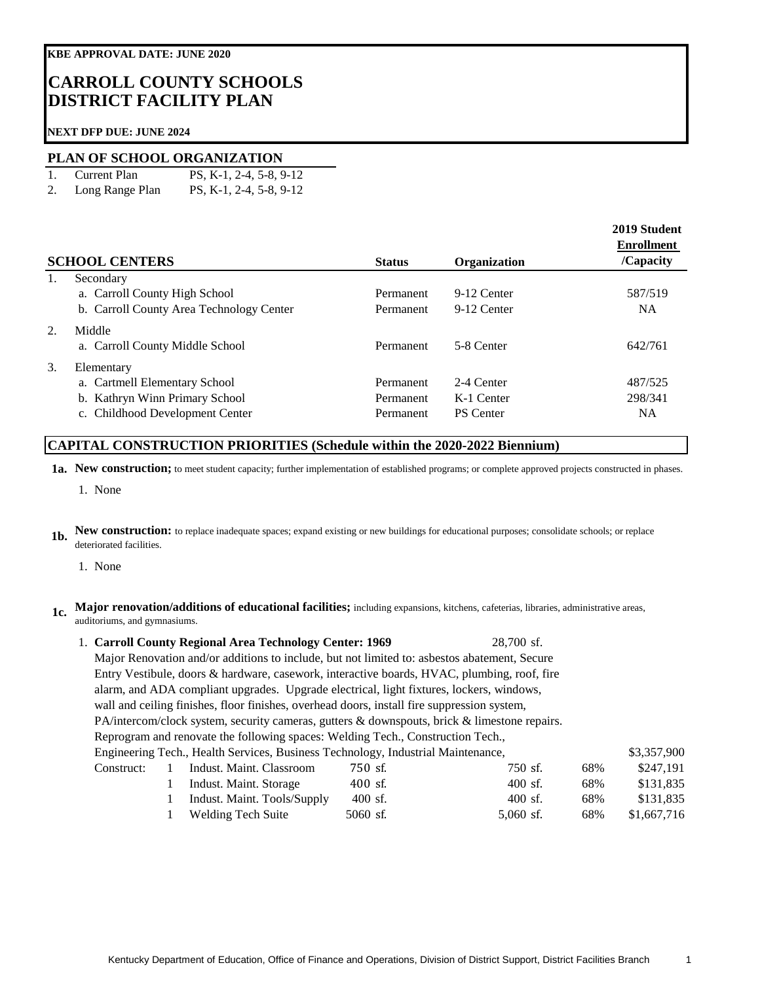# **CARROLL COUNTY SCHOOLS DISTRICT FACILITY PLAN**

### **NEXT DFP DUE: JUNE 2024**

### **PLAN OF SCHOOL ORGANIZATION**

- 1. Current Plan PS, K-1, 2-4, 5-8, 9-12
- 2. Long Range Plan PS, K-1, 2-4, 5-8, 9-12

|    | <b>SCHOOL CENTERS</b>                                                                                            | <b>Status</b>                       | <b>Organization</b>                          | 2019 Student<br><b>Enrollment</b><br>/Capacity |
|----|------------------------------------------------------------------------------------------------------------------|-------------------------------------|----------------------------------------------|------------------------------------------------|
| 1. | Secondary<br>a. Carroll County High School<br>b. Carroll County Area Technology Center                           | Permanent<br>Permanent              | 9-12 Center<br>9-12 Center                   | 587/519<br><b>NA</b>                           |
| 2. | Middle<br>a. Carroll County Middle School                                                                        | Permanent                           | 5-8 Center                                   | 642/761                                        |
| 3. | Elementary<br>a. Cartmell Elementary School<br>b. Kathryn Winn Primary School<br>c. Childhood Development Center | Permanent<br>Permanent<br>Permanent | 2-4 Center<br>K-1 Center<br><b>PS</b> Center | 487/525<br>298/341<br><b>NA</b>                |

## **CAPITAL CONSTRUCTION PRIORITIES (Schedule within the 2020-2022 Biennium)**

**1a. New construction;** to meet student capacity; further implementation of established programs; or complete approved projects constructed in phases.

1. None

**1b. New construction:** to replace inadequate spaces; expand existing or new buildings for educational purposes; consolidate schools; or replace deteriorated facilities.

1. None

### **1c. Major renovation/additions of educational facilities;** including expansions, kitchens, cafeterias, libraries, administrative areas, auditoriums, and gymnasiums.

|  |                                                                                                                                                         |  | 1. Carroll County Regional Area Technology Center: 1969                                      |            | 28.700 sf.  |     |             |  |
|--|---------------------------------------------------------------------------------------------------------------------------------------------------------|--|----------------------------------------------------------------------------------------------|------------|-------------|-----|-------------|--|
|  | Major Renovation and/or additions to include, but not limited to: asbestos abatement, Secure                                                            |  |                                                                                              |            |             |     |             |  |
|  | Entry Vestibule, doors & hardware, casework, interactive boards, HVAC, plumbing, roof, fire                                                             |  |                                                                                              |            |             |     |             |  |
|  | alarm, and ADA compliant upgrades. Upgrade electrical, light fixtures, lockers, windows,                                                                |  |                                                                                              |            |             |     |             |  |
|  |                                                                                                                                                         |  | wall and ceiling finishes, floor finishes, overhead doors, install fire suppression system,  |            |             |     |             |  |
|  |                                                                                                                                                         |  | PA/intercom/clock system, security cameras, gutters & downspouts, brick & limestone repairs. |            |             |     |             |  |
|  | Reprogram and renovate the following spaces: Welding Tech., Construction Tech.,                                                                         |  |                                                                                              |            |             |     |             |  |
|  | Engineering Tech., Health Services, Business Technology, Industrial Maintenance,<br>750 sf.<br>Indust. Maint. Classroom<br>750 sf.<br>68%<br>Construct: |  |                                                                                              |            |             |     | \$3,357,900 |  |
|  |                                                                                                                                                         |  |                                                                                              |            |             |     | \$247.191   |  |
|  |                                                                                                                                                         |  | Indust. Maint. Storage                                                                       | $400$ sf.  | $400$ sf.   | 68% | \$131,835   |  |
|  |                                                                                                                                                         |  | Indust. Maint. Tools/Supply                                                                  | $400$ sf.  | $400$ sf.   | 68% | \$131,835   |  |
|  |                                                                                                                                                         |  | <b>Welding Tech Suite</b>                                                                    | $5060$ sf. | $5,060$ sf. | 68% | \$1,667,716 |  |
|  |                                                                                                                                                         |  |                                                                                              |            |             |     |             |  |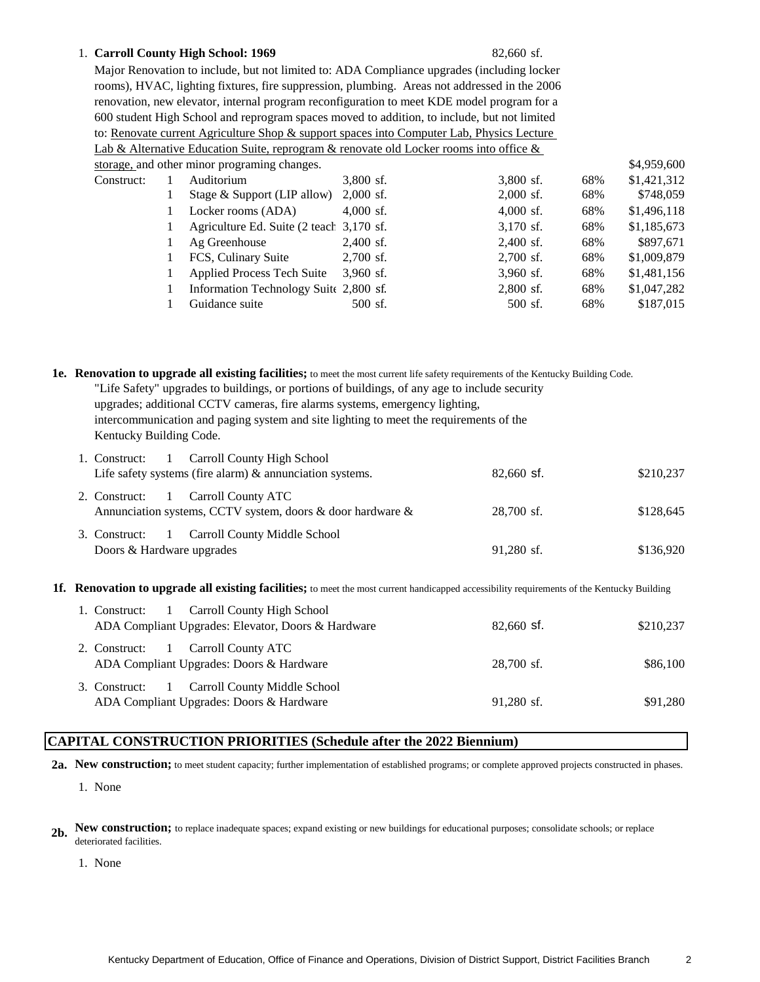### 1. 82,660 sf. **Carroll County High School: 1969**

Major Renovation to include, but not limited to: ADA Compliance upgrades (including locker rooms), HVAC, lighting fixtures, fire suppression, plumbing. Areas not addressed in the 2006 renovation, new elevator, internal program reconfiguration to meet KDE model program for a 600 student High School and reprogram spaces moved to addition, to include, but not limited to: Renovate current Agriculture Shop & support spaces into Computer Lab, Physics Lecture Lab & Alternative Education Suite, reprogram & renovate old Locker rooms into office &

|            | storage, and other minor programing changes. |             |             |     | \$4,959,600 |
|------------|----------------------------------------------|-------------|-------------|-----|-------------|
| Construct: | Auditorium                                   | 3,800 sf.   | 3,800 sf.   | 68% | \$1,421,312 |
|            | Stage & Support (LIP allow)                  | $2,000$ sf. | $2,000$ sf. | 68% | \$748,059   |
|            | Locker rooms (ADA)                           | $4,000$ sf. | $4,000$ sf. | 68% | \$1,496,118 |
|            | Agriculture Ed. Suite (2 teach 3,170 sf.     |             | $3,170$ sf. | 68% | \$1,185,673 |
|            | Ag Greenhouse                                | $2,400$ sf. | $2,400$ sf. | 68% | \$897,671   |
|            | FCS, Culinary Suite                          | $2,700$ sf. | $2,700$ sf. | 68% | \$1,009,879 |
|            | <b>Applied Process Tech Suite</b>            | $3,960$ sf. | $3,960$ sf. | 68% | \$1,481,156 |
|            | Information Technology Suite 2,800 sf.       |             | $2,800$ sf. | 68% | \$1,047,282 |
|            | Guidance suite                               | 500 sf.     | 500 sf.     | 68% | \$187,015   |
|            |                                              |             |             |     |             |

**1e. Renovation to upgrade all existing facilities;** to meet the most current life safety requirements of the Kentucky Building Code. 1. Construct: 1 "Life Safety" upgrades to buildings, or portions of buildings, of any age to include security upgrades; additional CCTV cameras, fire alarms systems, emergency lighting, intercommunication and paging system and site lighting to meet the requirements of the Kentucky Building Code. 1 Carroll County High School

| Life safety systems (fire alarm) $\&$ annunciation systems.                                      | $82,660$ sf. | \$210,237 |
|--------------------------------------------------------------------------------------------------|--------------|-----------|
| 2. Construct: 1 Carroll County ATC<br>Annunciation systems, CCTV system, doors & door hardware & | 28.700 sf.   | \$128,645 |
| 3. Construct: 1 Carroll County Middle School<br>Doors & Hardware upgrades                        | $91,280$ sf. | \$136,920 |

**1f. Renovation to upgrade all existing facilities;** to meet the most current handicapped accessibility requirements of the Kentucky Building

| 1. Construct: 1 Carroll County High School                                               |              |           |
|------------------------------------------------------------------------------------------|--------------|-----------|
| ADA Compliant Upgrades: Elevator, Doors & Hardware                                       | $82,660$ sf. | \$210,237 |
| 2. Construct: 1 Carroll County ATC<br>ADA Compliant Upgrades: Doors & Hardware           | 28,700 sf.   | \$86,100  |
| 3. Construct: 1 Carroll County Middle School<br>ADA Compliant Upgrades: Doors & Hardware | $91,280$ sf. | \$91,280  |

## **CAPITAL CONSTRUCTION PRIORITIES (Schedule after the 2022 Biennium)**

**2a. New construction;** to meet student capacity; further implementation of established programs; or complete approved projects constructed in phases.

1. None

- **2b. New construction;** to replace inadequate spaces; expand existing or new buildings for educational purposes; consolidate schools; or replace deteriorated facilities.
	- 1. None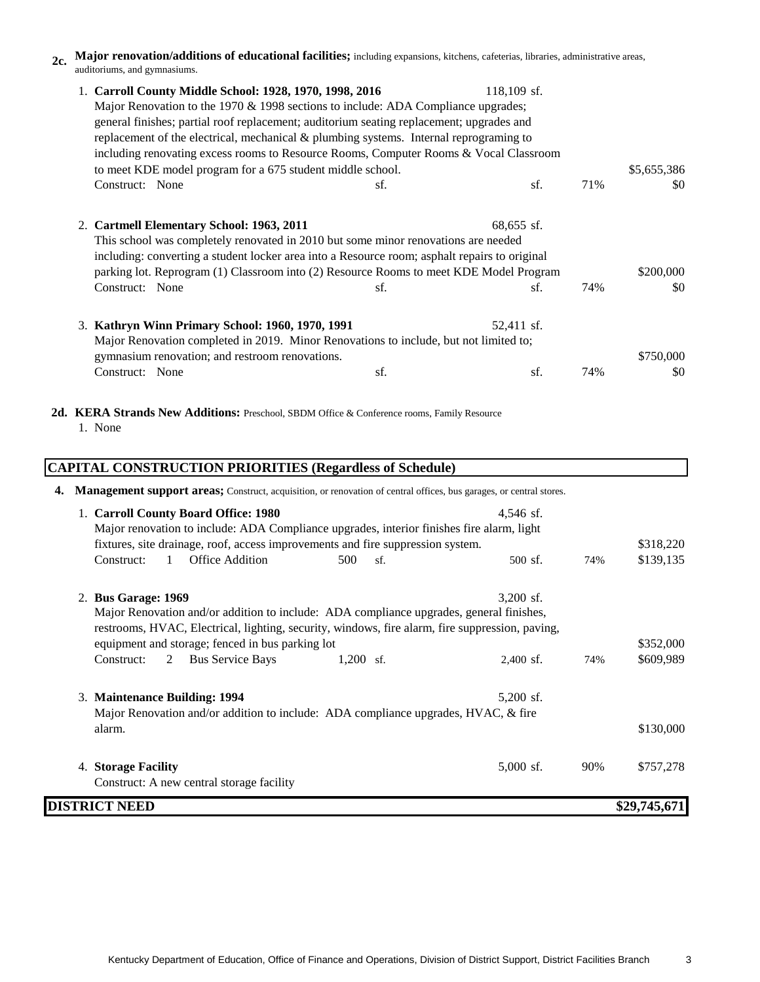**2c. Major renovation/additions of educational facilities;** including expansions, kitchens, cafeterias, libraries, administrative areas, auditoriums, and gymnasiums.

| 1. Carroll County Middle School: 1928, 1970, 1998, 2016                                       |     | 118,109 sf.  |     |             |  |  |  |
|-----------------------------------------------------------------------------------------------|-----|--------------|-----|-------------|--|--|--|
| Major Renovation to the 1970 & 1998 sections to include: ADA Compliance upgrades;             |     |              |     |             |  |  |  |
| general finishes; partial roof replacement; auditorium seating replacement; upgrades and      |     |              |     |             |  |  |  |
| replacement of the electrical, mechanical $\&$ plumbing systems. Internal reprograming to     |     |              |     |             |  |  |  |
| including renovating excess rooms to Resource Rooms, Computer Rooms & Vocal Classroom         |     |              |     |             |  |  |  |
| to meet KDE model program for a 675 student middle school.                                    |     |              |     | \$5,655,386 |  |  |  |
| Construct: None                                                                               | sf. | sf.          | 71% | \$0         |  |  |  |
|                                                                                               |     |              |     |             |  |  |  |
| 2. Cartmell Elementary School: 1963, 2011                                                     |     | $68,655$ sf. |     |             |  |  |  |
| This school was completely renovated in 2010 but some minor renovations are needed            |     |              |     |             |  |  |  |
| including: converting a student locker area into a Resource room; asphalt repairs to original |     |              |     |             |  |  |  |
| parking lot. Reprogram (1) Classroom into (2) Resource Rooms to meet KDE Model Program        |     |              |     | \$200,000   |  |  |  |
| Construct: None                                                                               | sf. | sf.          | 74% | \$0         |  |  |  |
|                                                                                               |     |              |     |             |  |  |  |
| 3. Kathryn Winn Primary School: 1960, 1970, 1991                                              |     | 52,411 sf.   |     |             |  |  |  |
| Major Renovation completed in 2019. Minor Renovations to include, but not limited to;         |     |              |     |             |  |  |  |
| gymnasium renovation; and restroom renovations.                                               |     |              |     | \$750,000   |  |  |  |
| Construct: None                                                                               | sf. | sf.          | 74% | \$0         |  |  |  |
|                                                                                               |     |              |     |             |  |  |  |

2d. **KERA Strands New Additions:** Preschool, SBDM Office & Conference rooms, Family Resource 1. None

|    | <b>CAPITAL CONSTRUCTION PRIORITIES (Regardless of Schedule)</b>                                                                                                              |                                                                                         |             |     |              |  |  |  |
|----|------------------------------------------------------------------------------------------------------------------------------------------------------------------------------|-----------------------------------------------------------------------------------------|-------------|-----|--------------|--|--|--|
| 4. | Management support areas; Construct, acquisition, or renovation of central offices, bus garages, or central stores.                                                          |                                                                                         |             |     |              |  |  |  |
|    | 1. Carroll County Board Office: 1980                                                                                                                                         |                                                                                         | 4,546 sf.   |     |              |  |  |  |
|    | Major renovation to include: ADA Compliance upgrades, interior finishes fire alarm, light<br>fixtures, site drainage, roof, access improvements and fire suppression system. |                                                                                         |             |     | \$318,220    |  |  |  |
|    | $\mathbf{1}$<br>Office Addition<br>Construct:                                                                                                                                | 500<br>sf.                                                                              | 500 sf.     | 74% | \$139,135    |  |  |  |
|    | 2. Bus Garage: 1969                                                                                                                                                          |                                                                                         | $3,200$ sf. |     |              |  |  |  |
|    |                                                                                                                                                                              | Major Renovation and/or addition to include: ADA compliance upgrades, general finishes, |             |     |              |  |  |  |
|    | restrooms, HVAC, Electrical, lighting, security, windows, fire alarm, fire suppression, paving,<br>equipment and storage; fenced in bus parking lot                          |                                                                                         |             |     | \$352,000    |  |  |  |
|    | 2<br><b>Bus Service Bays</b><br>Construct:                                                                                                                                   | $1,200$ sf.                                                                             | $2,400$ sf. | 74% | \$609,989    |  |  |  |
|    | 3. Maintenance Building: 1994                                                                                                                                                |                                                                                         | $5,200$ sf. |     |              |  |  |  |
|    | Major Renovation and/or addition to include: ADA compliance upgrades, HVAC, & fire                                                                                           |                                                                                         |             |     |              |  |  |  |
|    | alarm.                                                                                                                                                                       |                                                                                         |             |     | \$130,000    |  |  |  |
|    | 4. Storage Facility                                                                                                                                                          |                                                                                         | $5,000$ sf. | 90% | \$757,278    |  |  |  |
|    | Construct: A new central storage facility                                                                                                                                    |                                                                                         |             |     |              |  |  |  |
|    | <b>DISTRICT NEED</b>                                                                                                                                                         |                                                                                         |             |     | \$29,745,671 |  |  |  |